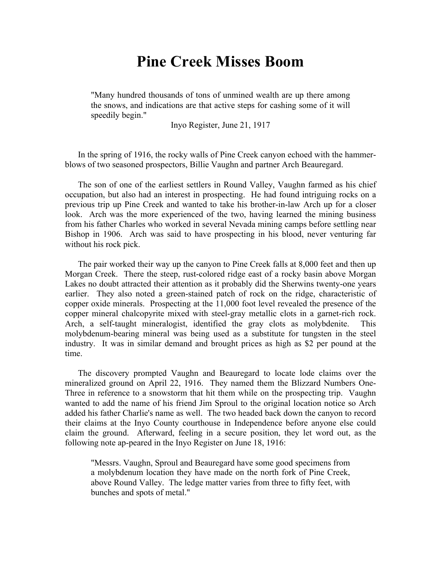## **Pine Creek Misses Boom**

"Many hundred thousands of tons of unmined wealth are up there among the snows, and indications are that active steps for cashing some of it will speedily begin."

Inyo Register, June 21, 1917

In the spring of 1916, the rocky walls of Pine Creek canyon echoed with the hammerblows of two seasoned prospectors, Billie Vaughn and partner Arch Beauregard.

The son of one of the earliest settlers in Round Valley, Vaughn farmed as his chief occupation, but also had an interest in prospecting. He had found intriguing rocks on a previous trip up Pine Creek and wanted to take his brother-in-law Arch up for a closer look. Arch was the more experienced of the two, having learned the mining business from his father Charles who worked in several Nevada mining camps before settling near Bishop in 1906. Arch was said to have prospecting in his blood, never venturing far without his rock pick.

The pair worked their way up the canyon to Pine Creek falls at 8,000 feet and then up Morgan Creek. There the steep, rust-colored ridge east of a rocky basin above Morgan Lakes no doubt attracted their attention as it probably did the Sherwins twenty-one years earlier. They also noted a green-stained patch of rock on the ridge, characteristic of copper oxide minerals. Prospecting at the 11,000 foot level revealed the presence of the copper mineral chalcopyrite mixed with steel-gray metallic clots in a garnet-rich rock. Arch, a self-taught mineralogist, identified the gray clots as molybdenite. This molybdenum-bearing mineral was being used as a substitute for tungsten in the steel industry. It was in similar demand and brought prices as high as \$2 per pound at the time.

The discovery prompted Vaughn and Beauregard to locate lode claims over the mineralized ground on April 22, 1916. They named them the Blizzard Numbers One-Three in reference to a snowstorm that hit them while on the prospecting trip. Vaughn wanted to add the name of his friend Jim Sproul to the original location notice so Arch added his father Charlie's name as well. The two headed back down the canyon to record their claims at the Inyo County courthouse in Independence before anyone else could claim the ground. Afterward, feeling in a secure position, they let word out, as the following note ap-peared in the Inyo Register on June 18, 1916:

"Messrs. Vaughn, Sproul and Beauregard have some good specimens from a molybdenum location they have made on the north fork of Pine Creek, above Round Valley. The ledge matter varies from three to fifty feet, with bunches and spots of metal."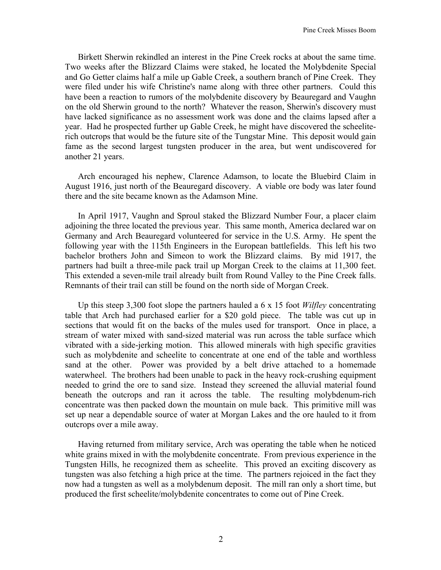Birkett Sherwin rekindled an interest in the Pine Creek rocks at about the same time. Two weeks after the Blizzard Claims were staked, he located the Molybdenite Special and Go Getter claims half a mile up Gable Creek, a southern branch of Pine Creek. They were filed under his wife Christine's name along with three other partners. Could this have been a reaction to rumors of the molybdenite discovery by Beauregard and Vaughn on the old Sherwin ground to the north? Whatever the reason, Sherwin's discovery must have lacked significance as no assessment work was done and the claims lapsed after a year. Had he prospected further up Gable Creek, he might have discovered the scheeliterich outcrops that would be the future site of the Tungstar Mine. This deposit would gain fame as the second largest tungsten producer in the area, but went undiscovered for another 21 years.

Arch encouraged his nephew, Clarence Adamson, to locate the Bluebird Claim in August 1916, just north of the Beauregard discovery. A viable ore body was later found there and the site became known as the Adamson Mine.

In April 1917, Vaughn and Sproul staked the Blizzard Number Four, a placer claim adjoining the three located the previous year. This same month, America declared war on Germany and Arch Beauregard volunteered for service in the U.S. Army. He spent the following year with the 115th Engineers in the European battlefields. This left his two bachelor brothers John and Simeon to work the Blizzard claims. By mid 1917, the partners had built a three-mile pack trail up Morgan Creek to the claims at 11,300 feet. This extended a seven-mile trail already built from Round Valley to the Pine Creek falls. Remnants of their trail can still be found on the north side of Morgan Creek.

Up this steep 3,300 foot slope the partners hauled a 6 x 15 foot *Wilfley* concentrating table that Arch had purchased earlier for a \$20 gold piece. The table was cut up in sections that would fit on the backs of the mules used for transport. Once in place, a stream of water mixed with sand-sized material was run across the table surface which vibrated with a side-jerking motion. This allowed minerals with high specific gravities such as molybdenite and scheelite to concentrate at one end of the table and worthless sand at the other. Power was provided by a belt drive attached to a homemade waterwheel. The brothers had been unable to pack in the heavy rock-crushing equipment needed to grind the ore to sand size. Instead they screened the alluvial material found beneath the outcrops and ran it across the table. The resulting molybdenum-rich concentrate was then packed down the mountain on mule back. This primitive mill was set up near a dependable source of water at Morgan Lakes and the ore hauled to it from outcrops over a mile away.

Having returned from military service, Arch was operating the table when he noticed white grains mixed in with the molybdenite concentrate. From previous experience in the Tungsten Hills, he recognized them as scheelite. This proved an exciting discovery as tungsten was also fetching a high price at the time. The partners rejoiced in the fact they now had a tungsten as well as a molybdenum deposit. The mill ran only a short time, but produced the first scheelite/molybdenite concentrates to come out of Pine Creek.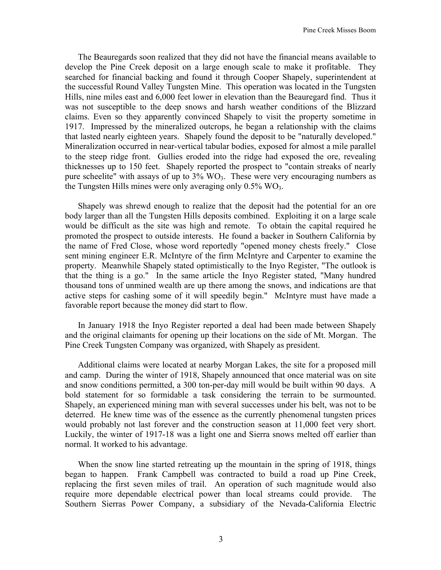The Beauregards soon realized that they did not have the financial means available to develop the Pine Creek deposit on a large enough scale to make it profitable. They searched for financial backing and found it through Cooper Shapely, superintendent at the successful Round Valley Tungsten Mine. This operation was located in the Tungsten Hills, nine miles east and 6,000 feet lower in elevation than the Beauregard find. Thus it was not susceptible to the deep snows and harsh weather conditions of the Blizzard claims. Even so they apparently convinced Shapely to visit the property sometime in 1917. Impressed by the mineralized outcrops, he began a relationship with the claims that lasted nearly eighteen years. Shapely found the deposit to be "naturally developed." Mineralization occurred in near-vertical tabular bodies, exposed for almost a mile parallel to the steep ridge front. Gullies eroded into the ridge had exposed the ore, revealing thicknesses up to 150 feet. Shapely reported the prospect to "contain streaks of nearly pure scheelite" with assays of up to  $3\%$  WO<sub>3</sub>. These were very encouraging numbers as the Tungsten Hills mines were only averaging only  $0.5\%$  WO<sub>3</sub>.

Shapely was shrewd enough to realize that the deposit had the potential for an ore body larger than all the Tungsten Hills deposits combined. Exploiting it on a large scale would be difficult as the site was high and remote. To obtain the capital required he promoted the prospect to outside interests. He found a backer in Southern California by the name of Fred Close, whose word reportedly "opened money chests freely." Close sent mining engineer E.R. McIntyre of the firm McIntyre and Carpenter to examine the property. Meanwhile Shapely stated optimistically to the Inyo Register, "The outlook is that the thing is a go." In the same article the Inyo Register stated, "Many hundred thousand tons of unmined wealth are up there among the snows, and indications are that active steps for cashing some of it will speedily begin." McIntyre must have made a favorable report because the money did start to flow.

In January 1918 the Inyo Register reported a deal had been made between Shapely and the original claimants for opening up their locations on the side of Mt. Morgan. The Pine Creek Tungsten Company was organized, with Shapely as president.

Additional claims were located at nearby Morgan Lakes, the site for a proposed mill and camp. During the winter of 1918, Shapely announced that once material was on site and snow conditions permitted, a 300 ton-per-day mill would be built within 90 days. A bold statement for so formidable a task considering the terrain to be surmounted. Shapely, an experienced mining man with several successes under his belt, was not to be deterred. He knew time was of the essence as the currently phenomenal tungsten prices would probably not last forever and the construction season at 11,000 feet very short. Luckily, the winter of 1917-18 was a light one and Sierra snows melted off earlier than normal. It worked to his advantage.

When the snow line started retreating up the mountain in the spring of 1918, things began to happen. Frank Campbell was contracted to build a road up Pine Creek, replacing the first seven miles of trail. An operation of such magnitude would also require more dependable electrical power than local streams could provide. The Southern Sierras Power Company, a subsidiary of the Nevada-California Electric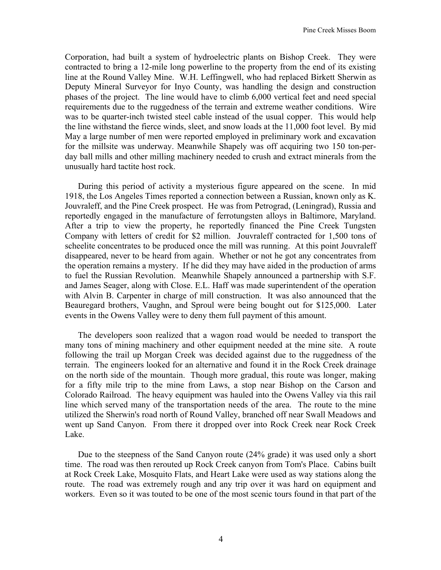Corporation, had built a system of hydroelectric plants on Bishop Creek. They were contracted to bring a 12-mile long powerline to the property from the end of its existing line at the Round Valley Mine. W.H. Leffingwell, who had replaced Birkett Sherwin as Deputy Mineral Surveyor for Inyo County, was handling the design and construction phases of the project. The line would have to climb 6,000 vertical feet and need special requirements due to the ruggedness of the terrain and extreme weather conditions. Wire was to be quarter-inch twisted steel cable instead of the usual copper. This would help the line withstand the fierce winds, sleet, and snow loads at the 11,000 foot level. By mid May a large number of men were reported employed in preliminary work and excavation for the millsite was underway. Meanwhile Shapely was off acquiring two 150 ton-perday ball mills and other milling machinery needed to crush and extract minerals from the unusually hard tactite host rock.

During this period of activity a mysterious figure appeared on the scene. In mid 1918, the Los Angeles Times reported a connection between a Russian, known only as K. Jouvraleff, and the Pine Creek prospect. He was from Petrograd, (Leningrad), Russia and reportedly engaged in the manufacture of ferrotungsten alloys in Baltimore, Maryland. After a trip to view the property, he reportedly financed the Pine Creek Tungsten Company with letters of credit for \$2 million. Jouvraleff contracted for 1,500 tons of scheelite concentrates to be produced once the mill was running. At this point Jouvraleff disappeared, never to be heard from again. Whether or not he got any concentrates from the operation remains a mystery. If he did they may have aided in the production of arms to fuel the Russian Revolution. Meanwhile Shapely announced a partnership with S.F. and James Seager, along with Close. E.L. Haff was made superintendent of the operation with Alvin B. Carpenter in charge of mill construction. It was also announced that the Beauregard brothers, Vaughn, and Sproul were being bought out for \$125,000. Later events in the Owens Valley were to deny them full payment of this amount.

The developers soon realized that a wagon road would be needed to transport the many tons of mining machinery and other equipment needed at the mine site. A route following the trail up Morgan Creek was decided against due to the ruggedness of the terrain. The engineers looked for an alternative and found it in the Rock Creek drainage on the north side of the mountain. Though more gradual, this route was longer, making for a fifty mile trip to the mine from Laws, a stop near Bishop on the Carson and Colorado Railroad. The heavy equipment was hauled into the Owens Valley via this rail line which served many of the transportation needs of the area. The route to the mine utilized the Sherwin's road north of Round Valley, branched off near Swall Meadows and went up Sand Canyon. From there it dropped over into Rock Creek near Rock Creek Lake.

Due to the steepness of the Sand Canyon route (24% grade) it was used only a short time. The road was then rerouted up Rock Creek canyon from Tom's Place. Cabins built at Rock Creek Lake, Mosquito Flats, and Heart Lake were used as way stations along the route. The road was extremely rough and any trip over it was hard on equipment and workers. Even so it was touted to be one of the most scenic tours found in that part of the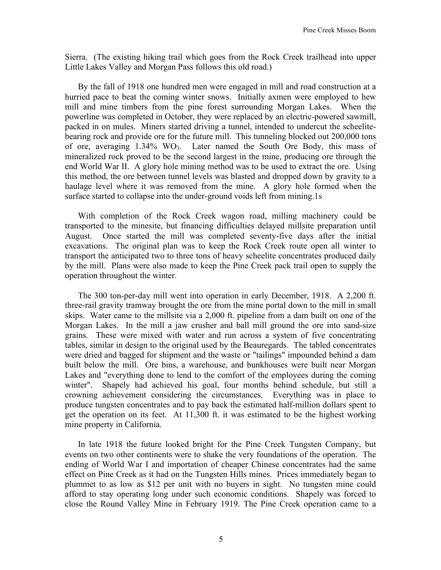Sierra. (The existing hiking trail which goes from the Rock Creek trailhead into upper Little Lakes Valley and Morgan Pass follows this old road.)

By the fall of 1918 one hundred men were engaged in mill and road construction at a hurried pace to beat the coming winter snows. Initially axmen were employed to hew mill and mine timbers from the pine forest surrounding Morgan Lakes. When the powerline was completed in October, they were replaced by an electric-powered sawmill, packed in on mules. Miners started driving a tunnel, intended to undercut the scheelitebearing rock and provide ore for the future mill. This tunneling blocked out 200,000 tons of ore, averaging  $1.34\%$  WO<sub>3</sub>. Later named the South Ore Body, this mass of mineralized rock proved to be the second largest in the mine, producing ore through the end World War II. A glory hole mining method was to be used to extract the ore. Using this method, the ore between tunnel levels was blasted and dropped down by gravity to a haulage level where it was removed from the mine. A glory hole formed when the surface started to collapse into the under-ground voids left from mining.1s

With completion of the Rock Creek wagon road, milling machinery could be transported to the minesite, but financing difficulties delayed millsite preparation until August. Once started the mill was completed seventy-five days after the initial excavations. The original plan was to keep the Rock Creek route open all winter to transport the anticipated two to three tons of heavy scheelite concentrates produced daily by the mill. Plans were also made to keep the Pine Creek pack trail open to supply the operation throughout the winter.

The 300 ton-per-day mill went into operation in early December, 1918. A 2,200 ft. three-rail gravity tramway brought the ore from the mine portal down to the mill in small skips. Water came to the millsite via a 2,000 ft. pipeline from a dam built on one of the Morgan Lakes. In the mill a jaw crusher and ball mill ground the ore into sand-size grains. These were mixed with water and run across a system of five concentrating tables, similar in design to the original used by the Beauregards. The tabled concentrates were dried and bagged for shipment and the waste or "tailings" impounded behind a dam built below the mill. Ore bins, a warehouse, and bunkhouses were built near Morgan Lakes and "everything done to lend to the comfort of the employees during the coming winter". Shapely had achieved his goal, four months behind schedule, but still a crowning achievement considering the circumstances. Everything was in place to produce tungsten concentrates and to pay back the estimated half-million dollars spent to get the operation on its feet. At 11,300 ft. it was estimated to be the highest working mine property in California.

In late 1918 the future looked bright for the Pine Creek Tungsten Company, but events on two other continents were to shake the very foundations of the operation. The ending of World War I and importation of cheaper Chinese concentrates had the same effect on Pine Creek as it had on the Tungsten Hills mines. Prices immediately began to plummet to as low as \$12 per unit with no buyers in sight. No tungsten mine could afford to stay operating long under such economic conditions. Shapely was forced to close the Round Valley Mine in February 1919. The Pine Creek operation came to a